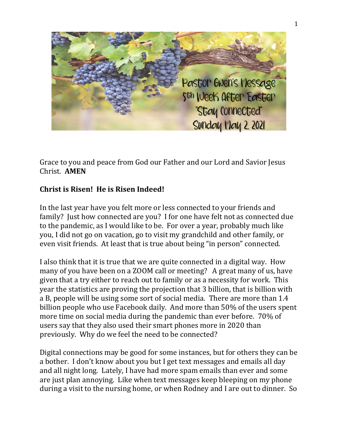

Grace to you and peace from God our Father and our Lord and Savior Jesus Christ. **AMEN**

## **Christ is Risen! He is Risen Indeed!**

In the last year have you felt more or less connected to your friends and family? Just how connected are you? I for one have felt not as connected due to the pandemic, as I would like to be. For over a year, probably much like you, I did not go on vacation, go to visit my grandchild and other family, or even visit friends. At least that is true about being "in person" connected.

I also think that it is true that we are quite connected in a digital way. How many of you have been on a ZOOM call or meeting? A great many of us, have given that a try either to reach out to family or as a necessity for work. This year the statistics are proving the projection that 3 billion, that is billion with a B, people will be using some sort of social media. There are more than 1.4 billion people who use Facebook daily. And more than 50% of the users spent more time on social media during the pandemic than ever before. 70% of users say that they also used their smart phones more in 2020 than previously. Why do we feel the need to be connected?

Digital connections may be good for some instances, but for others they can be a bother. I don't know about you but I get text messages and emails all day and all night long. Lately, I have had more spam emails than ever and some are just plan annoying. Like when text messages keep bleeping on my phone during a visit to the nursing home, or when Rodney and I are out to dinner. So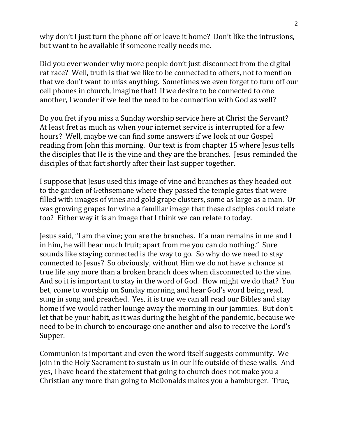why don't I just turn the phone off or leave it home? Don't like the intrusions, but want to be available if someone really needs me.

Did you ever wonder why more people don't just disconnect from the digital rat race? Well, truth is that we like to be connected to others, not to mention that we don't want to miss anything. Sometimes we even forget to turn off our cell phones in church, imagine that! If we desire to be connected to one another, I wonder if we feel the need to be connection with God as well?

Do you fret if you miss a Sunday worship service here at Christ the Servant? At least fret as much as when your internet service is interrupted for a few hours? Well, maybe we can find some answers if we look at our Gospel reading from John this morning. Our text is from chapter 15 where Jesus tells the disciples that He is the vine and they are the branches. Jesus reminded the disciples of that fact shortly after their last supper together.

I suppose that Jesus used this image of vine and branches as they headed out to the garden of Gethsemane where they passed the temple gates that were filled with images of vines and gold grape clusters, some as large as a man. Or was growing grapes for wine a familiar image that these disciples could relate too? Either way it is an image that I think we can relate to today.

Jesus said, "I am the vine; you are the branches. If a man remains in me and I in him, he will bear much fruit; apart from me you can do nothing." Sure sounds like staying connected is the way to go. So why do we need to stay connected to Jesus? So obviously, without Him we do not have a chance at true life any more than a broken branch does when disconnected to the vine. And so it is important to stay in the word of God. How might we do that? You bet, come to worship on Sunday morning and hear God's word being read, sung in song and preached. Yes, it is true we can all read our Bibles and stay home if we would rather lounge away the morning in our jammies. But don't let that be your habit, as it was during the height of the pandemic, because we need to be in church to encourage one another and also to receive the Lord's Supper.

Communion is important and even the word itself suggests community. We join in the Holy Sacrament to sustain us in our life outside of these walls. And yes, I have heard the statement that going to church does not make you a Christian any more than going to McDonalds makes you a hamburger. True,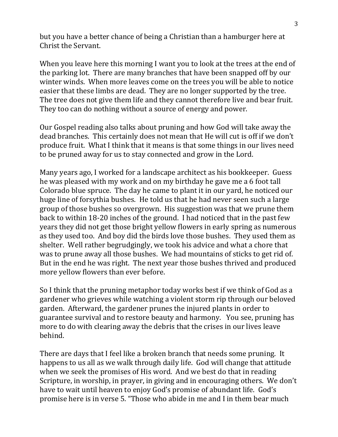but you have a better chance of being a Christian than a hamburger here at Christ the Servant.

When you leave here this morning I want you to look at the trees at the end of the parking lot. There are many branches that have been snapped off by our winter winds. When more leaves come on the trees you will be able to notice easier that these limbs are dead. They are no longer supported by the tree. The tree does not give them life and they cannot therefore live and bear fruit. They too can do nothing without a source of energy and power.

Our Gospel reading also talks about pruning and how God will take away the dead branches. This certainly does not mean that He will cut is off if we don't produce fruit. What I think that it means is that some things in our lives need to be pruned away for us to stay connected and grow in the Lord.

Many years ago, I worked for a landscape architect as his bookkeeper. Guess he was pleased with my work and on my birthday he gave me a 6 foot tall Colorado blue spruce. The day he came to plant it in our yard, he noticed our huge line of forsythia bushes. He told us that he had never seen such a large group of those bushes so overgrown. His suggestion was that we prune them back to within 18-20 inches of the ground. I had noticed that in the past few years they did not get those bright yellow flowers in early spring as numerous as they used too. And boy did the birds love those bushes. They used them as shelter. Well rather begrudgingly, we took his advice and what a chore that was to prune away all those bushes. We had mountains of sticks to get rid of. But in the end he was right. The next year those bushes thrived and produced more yellow flowers than ever before.

So I think that the pruning metaphor today works best if we think of God as a gardener who grieves while watching a violent storm rip through our beloved garden. Afterward, the gardener prunes the injured plants in order to guarantee survival and to restore beauty and harmony. You see, pruning has more to do with clearing away the debris that the crises in our lives leave behind.

There are days that I feel like a broken branch that needs some pruning. It happens to us all as we walk through daily life. God will change that attitude when we seek the promises of His word. And we best do that in reading Scripture, in worship, in prayer, in giving and in encouraging others. We don't have to wait until heaven to enjoy God's promise of abundant life. God's promise here is in verse 5. "Those who abide in me and I in them bear much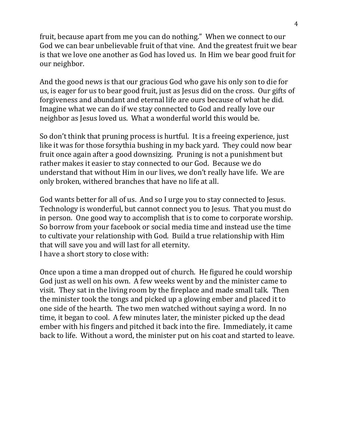fruit, because apart from me you can do nothing." When we connect to our God we can bear unbelievable fruit of that vine. And the greatest fruit we bear is that we love one another as God has loved us. In Him we bear good fruit for our neighbor.

And the good news is that our gracious God who gave his only son to die for us, is eager for us to bear good fruit, just as Jesus did on the cross. Our gifts of forgiveness and abundant and eternal life are ours because of what he did. Imagine what we can do if we stay connected to God and really love our neighbor as Jesus loved us. What a wonderful world this would be.

So don't think that pruning process is hurtful. It is a freeing experience, just like it was for those forsythia bushing in my back yard. They could now bear fruit once again after a good downsizing. Pruning is not a punishment but rather makes it easier to stay connected to our God. Because we do understand that without Him in our lives, we don't really have life. We are only broken, withered branches that have no life at all.

God wants better for all of us. And so I urge you to stay connected to Jesus. Technology is wonderful, but cannot connect you to Jesus. That you must do in person. One good way to accomplish that is to come to corporate worship. So borrow from your facebook or social media time and instead use the time to cultivate your relationship with God. Build a true relationship with Him that will save you and will last for all eternity. I have a short story to close with:

Once upon a time a man dropped out of church. He figured he could worship God just as well on his own. A few weeks went by and the minister came to visit. They sat in the living room by the fireplace and made small talk. Then the minister took the tongs and picked up a glowing ember and placed it to one side of the hearth. The two men watched without saying a word. In no time, it began to cool. A few minutes later, the minister picked up the dead ember with his fingers and pitched it back into the fire. Immediately, it came back to life. Without a word, the minister put on his coat and started to leave.